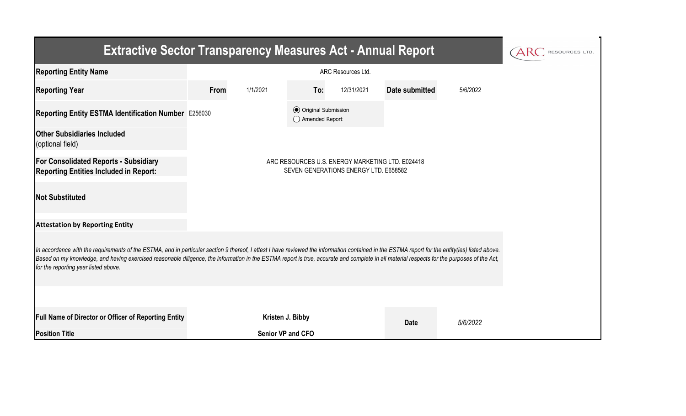| <b>Extractive Sector Transparency Measures Act - Annual Report</b>                                                                                                                                                                                                                                                                                                                                                                    | RESOURCES LTD.                                                                            |                          |                                                  |            |                |          |  |  |  |  |
|---------------------------------------------------------------------------------------------------------------------------------------------------------------------------------------------------------------------------------------------------------------------------------------------------------------------------------------------------------------------------------------------------------------------------------------|-------------------------------------------------------------------------------------------|--------------------------|--------------------------------------------------|------------|----------------|----------|--|--|--|--|
| <b>Reporting Entity Name</b>                                                                                                                                                                                                                                                                                                                                                                                                          |                                                                                           |                          |                                                  |            |                |          |  |  |  |  |
| <b>Reporting Year</b>                                                                                                                                                                                                                                                                                                                                                                                                                 | From                                                                                      | 1/1/2021                 | To:                                              | 12/31/2021 | Date submitted | 5/6/2022 |  |  |  |  |
| Reporting Entity ESTMA Identification Number E256030                                                                                                                                                                                                                                                                                                                                                                                  |                                                                                           |                          | <b>⊙</b> Original Submission<br>◯ Amended Report |            |                |          |  |  |  |  |
| <b>Other Subsidiaries Included</b><br>(optional field)                                                                                                                                                                                                                                                                                                                                                                                |                                                                                           |                          |                                                  |            |                |          |  |  |  |  |
| <b>For Consolidated Reports - Subsidiary</b><br><b>Reporting Entities Included in Report:</b>                                                                                                                                                                                                                                                                                                                                         | ARC RESOURCES U.S. ENERGY MARKETING LTD. E024418<br>SEVEN GENERATIONS ENERGY LTD. E658582 |                          |                                                  |            |                |          |  |  |  |  |
| <b>Not Substituted</b>                                                                                                                                                                                                                                                                                                                                                                                                                |                                                                                           |                          |                                                  |            |                |          |  |  |  |  |
| <b>Attestation by Reporting Entity</b>                                                                                                                                                                                                                                                                                                                                                                                                |                                                                                           |                          |                                                  |            |                |          |  |  |  |  |
| In accordance with the requirements of the ESTMA, and in particular section 9 thereof, I attest I have reviewed the information contained in the ESTMA report for the entity(ies) listed above.<br>Based on my knowledge, and having exercised reasonable diligence, the information in the ESTMA report is true, accurate and complete in all material respects for the purposes of the Act,<br>for the reporting year listed above. |                                                                                           |                          |                                                  |            |                |          |  |  |  |  |
|                                                                                                                                                                                                                                                                                                                                                                                                                                       |                                                                                           |                          |                                                  |            |                |          |  |  |  |  |
| <b>Full Name of Director or Officer of Reporting Entity</b>                                                                                                                                                                                                                                                                                                                                                                           |                                                                                           | Kristen J. Bibby         |                                                  |            | <b>Date</b>    | 5/6/2022 |  |  |  |  |
| <b>Position Title</b>                                                                                                                                                                                                                                                                                                                                                                                                                 |                                                                                           | <b>Senior VP and CFO</b> |                                                  |            |                |          |  |  |  |  |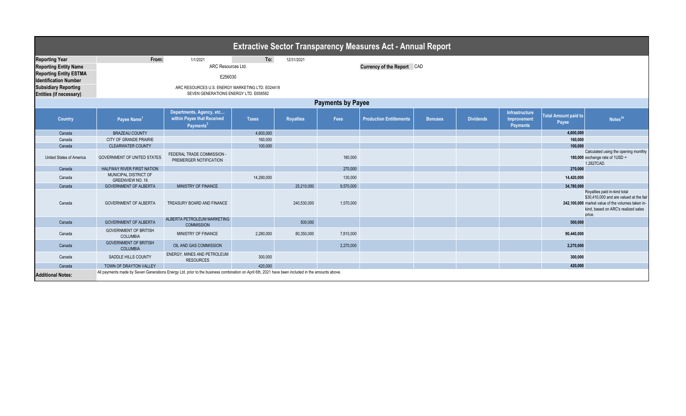| <b>Extractive Sector Transparency Measures Act - Annual Report</b> |                                                  |                                                                                                                                                  |              |                  |           |                                |                |                  |                                                  |                                      |                                                                                                                                                                               |
|--------------------------------------------------------------------|--------------------------------------------------|--------------------------------------------------------------------------------------------------------------------------------------------------|--------------|------------------|-----------|--------------------------------|----------------|------------------|--------------------------------------------------|--------------------------------------|-------------------------------------------------------------------------------------------------------------------------------------------------------------------------------|
| <b>Reporting Year</b>                                              | From:                                            | 1/1/2021                                                                                                                                         | To:          | 12/31/2021       |           |                                |                |                  |                                                  |                                      |                                                                                                                                                                               |
| <b>Reporting Entity Name</b>                                       | ARC Resources Ltd.<br>Currency of the Report CAD |                                                                                                                                                  |              |                  |           |                                |                |                  |                                                  |                                      |                                                                                                                                                                               |
| <b>Reporting Entity ESTMA</b><br><b>Identification Number</b>      |                                                  |                                                                                                                                                  |              |                  |           |                                |                |                  |                                                  |                                      |                                                                                                                                                                               |
| <b>Subsidiary Reporting</b><br><b>Entities (if necessary)</b>      |                                                  |                                                                                                                                                  |              |                  |           |                                |                |                  |                                                  |                                      |                                                                                                                                                                               |
| <b>Payments by Payee</b>                                           |                                                  |                                                                                                                                                  |              |                  |           |                                |                |                  |                                                  |                                      |                                                                                                                                                                               |
| <b>Country</b>                                                     | Payee Name <sup>1</sup>                          | Departments, Agency, etc<br>within Payee that Received<br>Payments <sup>21</sup>                                                                 | <b>Taxes</b> | <b>Royalties</b> | Fees      | <b>Production Entitlements</b> | <b>Bonuses</b> | <b>Dividends</b> | Infrastructure<br>Improvement<br><b>Payments</b> | <b>Total Amount paid to</b><br>Payee | Notes <sup>34</sup>                                                                                                                                                           |
| Canada                                                             | <b>BRAZEAU COUNTY</b>                            |                                                                                                                                                  | 4,600,000    |                  |           |                                |                |                  |                                                  | 4,600,000                            |                                                                                                                                                                               |
| Canada                                                             | <b>CITY OF GRANDE PRAIRIE</b>                    |                                                                                                                                                  | 160,000      |                  |           |                                |                |                  |                                                  | 160,000                              |                                                                                                                                                                               |
| Canada                                                             | <b>CLEARWATER COUNTY</b>                         |                                                                                                                                                  | 100,000      |                  |           |                                |                |                  |                                                  | 100.000                              |                                                                                                                                                                               |
| <b>United States of America</b>                                    | <b>GOVERNMENT OF UNITED STATES</b>               | FEDERAL TRADE COMMISSION -<br>PREMERGER NOTIFICATION                                                                                             |              |                  | 180,000   |                                |                |                  |                                                  |                                      | Calculated using the opening monthly<br>180,000 exchange rate of 1USD =<br>1.2827CAD.                                                                                         |
| Canada                                                             | <b>HALFWAY RIVER FIRST NATION</b>                |                                                                                                                                                  |              |                  | 270,000   |                                |                |                  |                                                  | 270,000                              |                                                                                                                                                                               |
| Canada                                                             | MUNICIPAL DISTRICT OF<br><b>GREENVIEW NO. 16</b> |                                                                                                                                                  | 14,290,000   |                  | 130,000   |                                |                |                  |                                                  | 14,420,000                           |                                                                                                                                                                               |
| Canada                                                             | <b>GOVERNMENT OF ALBERTA</b>                     | MINISTRY OF FINANCE                                                                                                                              |              | 25,210,000       | 9,570,000 |                                |                |                  |                                                  | 34,780,000                           |                                                                                                                                                                               |
| Canada                                                             | <b>GOVERNMENT OF ALBERTA</b>                     | TREASURY BOARD AND FINANCE                                                                                                                       |              | 240,530,000      | 1,570,000 |                                |                |                  |                                                  |                                      | Royalties paid in-kind total<br>\$30,410,000 and are valued at the fair<br>242,100,000 market value of the volumes taken in-<br>kind, based on ARC's realized sales<br>price. |
| Canada                                                             | <b>GOVERNMENT OF ALBERTA</b>                     | ALBERTA PETROLEUM MARKETING<br><b>COMMISSION</b>                                                                                                 |              | 500,000          |           |                                |                |                  |                                                  | 500,000                              |                                                                                                                                                                               |
| Canada                                                             | <b>GOVERNMENT OF BRITISH</b><br>COLUMBIA         | MINISTRY OF FINANCE                                                                                                                              | 2,280,000    | 80,350,000       | 7,810,000 |                                |                |                  |                                                  | 90,440,000                           |                                                                                                                                                                               |
| Canada                                                             | <b>GOVERNMENT OF BRITISH</b><br><b>COLUMBIA</b>  | OIL AND GAS COMMISSION                                                                                                                           |              |                  | 2,270,000 |                                |                |                  |                                                  | 2,270,000                            |                                                                                                                                                                               |
| Canada                                                             | <b>SADDLE HILLS COUNTY</b>                       | ENERGY, MINES AND PETROLEUM<br><b>RESOURCES</b>                                                                                                  | 300,000      |                  |           |                                |                |                  |                                                  | 300,000                              |                                                                                                                                                                               |
| Canada                                                             | TOWN OF DRAYTON VALLEY                           |                                                                                                                                                  | 420,000      |                  |           |                                |                |                  |                                                  | 420,000                              |                                                                                                                                                                               |
| <b>Additional Notes:</b>                                           |                                                  | All payments made by Seven Generations Energy Ltd. prior to the business combination on April 6th, 2021 have been included in the amounts above. |              |                  |           |                                |                |                  |                                                  |                                      |                                                                                                                                                                               |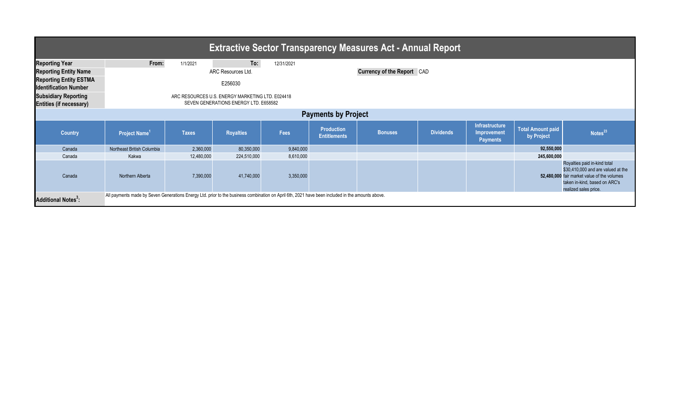| <b>Extractive Sector Transparency Measures Act - Annual Report</b> |                                                                                                                                                  |              |                    |            |                                          |                |                  |                                                         |                                        |                                                                                                                                                                             |  |
|--------------------------------------------------------------------|--------------------------------------------------------------------------------------------------------------------------------------------------|--------------|--------------------|------------|------------------------------------------|----------------|------------------|---------------------------------------------------------|----------------------------------------|-----------------------------------------------------------------------------------------------------------------------------------------------------------------------------|--|
| <b>Reporting Year</b>                                              | From:                                                                                                                                            | 1/1/2021     | To:                | 12/31/2021 |                                          |                |                  |                                                         |                                        |                                                                                                                                                                             |  |
| <b>Reporting Entity Name</b>                                       |                                                                                                                                                  |              | ARC Resources Ltd. |            | <b>Currency of the Report</b> CAD        |                |                  |                                                         |                                        |                                                                                                                                                                             |  |
| <b>Reporting Entity ESTMA</b><br><b>Identification Number</b>      |                                                                                                                                                  |              | E256030            |            |                                          |                |                  |                                                         |                                        |                                                                                                                                                                             |  |
| <b>Subsidiary Reporting</b><br><b>Entities (if necessary)</b>      | ARC RESOURCES U.S. ENERGY MARKETING LTD. E024418<br>SEVEN GENERATIONS ENERGY LTD. E658582                                                        |              |                    |            |                                          |                |                  |                                                         |                                        |                                                                                                                                                                             |  |
| <b>Payments by Project</b>                                         |                                                                                                                                                  |              |                    |            |                                          |                |                  |                                                         |                                        |                                                                                                                                                                             |  |
| <b>Country</b>                                                     | Project Name <sup>1</sup>                                                                                                                        | <b>Taxes</b> | <b>Royalties</b>   | Fees       | <b>Production</b><br><b>Entitlements</b> | <b>Bonuses</b> | <b>Dividends</b> | Infrastructure<br><b>Improvement</b><br><b>Payments</b> | <b>Total Amount paid</b><br>by Project | Notes <sup>23</sup>                                                                                                                                                         |  |
| Canada                                                             | Northeast British Columbia                                                                                                                       | 2,360,000    | 80,350,000         | 9,840,000  |                                          |                |                  |                                                         | 92,550,000                             |                                                                                                                                                                             |  |
| Canada                                                             | Kakwa                                                                                                                                            | 12,480,000   | 224,510,000        | 8,610,000  |                                          |                |                  |                                                         | 245,600,000                            |                                                                                                                                                                             |  |
| Canada                                                             | Northern Alberta                                                                                                                                 | 7,390,000    | 41,740,000         | 3,350,000  |                                          |                |                  |                                                         |                                        | Royalties paid in-kind total<br>\$30,410,000 and are valued at the<br>52,480,000 fair market value of the volumes<br>taken in-kind, based on ARC's<br>realized sales price. |  |
| <b>Additional Notes<sup>3</sup>:</b>                               | All payments made by Seven Generations Energy Ltd. prior to the business combination on April 6th, 2021 have been included in the amounts above. |              |                    |            |                                          |                |                  |                                                         |                                        |                                                                                                                                                                             |  |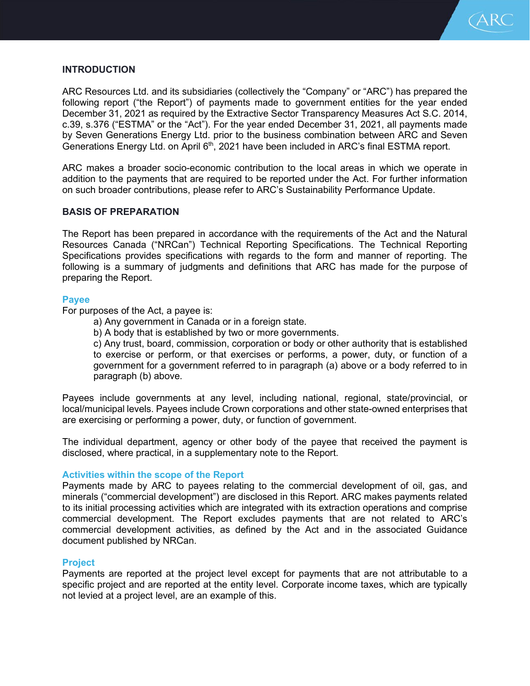

# **INTRODUCTION**

ARC Resources Ltd. and its subsidiaries (collectively the "Company" or "ARC") has prepared the following report ("the Report") of payments made to government entities for the year ended December 31, 2021 as required by the Extractive Sector Transparency Measures Act S.C. 2014, c.39, s.376 ("ESTMA" or the "Act"). For the year ended December 31, 2021, all payments made by Seven Generations Energy Ltd. prior to the business combination between ARC and Seven Generations Energy Ltd. on April 6<sup>th</sup>, 2021 have been included in ARC's final ESTMA report.

ARC makes a broader socio-economic contribution to the local areas in which we operate in addition to the payments that are required to be reported under the Act. For further information on such broader contributions, please refer to ARC's Sustainability Performance Update.

## **BASIS OF PREPARATION**

The Report has been prepared in accordance with the requirements of the Act and the Natural Resources Canada ("NRCan") Technical Reporting Specifications. The Technical Reporting Specifications provides specifications with regards to the form and manner of reporting. The following is a summary of judgments and definitions that ARC has made for the purpose of preparing the Report.

## **Payee**

For purposes of the Act, a payee is:

- a) Any government in Canada or in a foreign state.
- b) A body that is established by two or more governments.

c) Any trust, board, commission, corporation or body or other authority that is established to exercise or perform, or that exercises or performs, a power, duty, or function of a government for a government referred to in paragraph (a) above or a body referred to in paragraph (b) above.

Payees include governments at any level, including national, regional, state/provincial, or local/municipal levels. Payees include Crown corporations and other state-owned enterprises that are exercising or performing a power, duty, or function of government.

The individual department, agency or other body of the payee that received the payment is disclosed, where practical, in a supplementary note to the Report.

#### **Activities within the scope of the Report**

Payments made by ARC to payees relating to the commercial development of oil, gas, and minerals ("commercial development") are disclosed in this Report. ARC makes payments related to its initial processing activities which are integrated with its extraction operations and comprise commercial development. The Report excludes payments that are not related to ARC's commercial development activities, as defined by the Act and in the associated Guidance document published by NRCan.

## **Project**

Payments are reported at the project level except for payments that are not attributable to a specific project and are reported at the entity level. Corporate income taxes, which are typically not levied at a project level, are an example of this.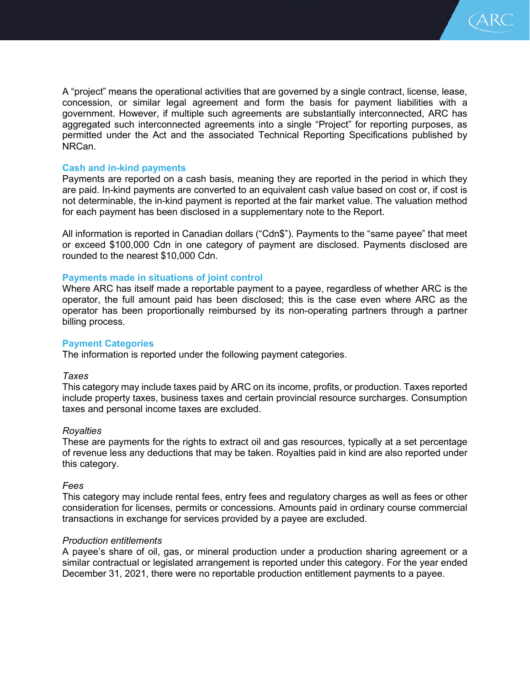

A "project" means the operational activities that are governed by a single contract, license, lease, concession, or similar legal agreement and form the basis for payment liabilities with a government. However, if multiple such agreements are substantially interconnected, ARC has aggregated such interconnected agreements into a single "Project" for reporting purposes, as permitted under the Act and the associated Technical Reporting Specifications published by NRCan.

## **Cash and in-kind payments**

Payments are reported on a cash basis, meaning they are reported in the period in which they are paid. In-kind payments are converted to an equivalent cash value based on cost or, if cost is not determinable, the in-kind payment is reported at the fair market value. The valuation method for each payment has been disclosed in a supplementary note to the Report.

All information is reported in Canadian dollars ("Cdn\$"). Payments to the "same payee" that meet or exceed \$100,000 Cdn in one category of payment are disclosed. Payments disclosed are rounded to the nearest \$10,000 Cdn.

### **Payments made in situations of joint control**

Where ARC has itself made a reportable payment to a payee, regardless of whether ARC is the operator, the full amount paid has been disclosed; this is the case even where ARC as the operator has been proportionally reimbursed by its non-operating partners through a partner billing process.

#### **Payment Categories**

The information is reported under the following payment categories.

### *Taxes*

This category may include taxes paid by ARC on its income, profits, or production. Taxes reported include property taxes, business taxes and certain provincial resource surcharges. Consumption taxes and personal income taxes are excluded.

#### *Royalties*

These are payments for the rights to extract oil and gas resources, typically at a set percentage of revenue less any deductions that may be taken. Royalties paid in kind are also reported under this category.

## *Fees*

This category may include rental fees, entry fees and regulatory charges as well as fees or other consideration for licenses, permits or concessions. Amounts paid in ordinary course commercial transactions in exchange for services provided by a payee are excluded.

#### *Production entitlements*

A payee's share of oil, gas, or mineral production under a production sharing agreement or a similar contractual or legislated arrangement is reported under this category. For the year ended December 31, 2021, there were no reportable production entitlement payments to a payee.